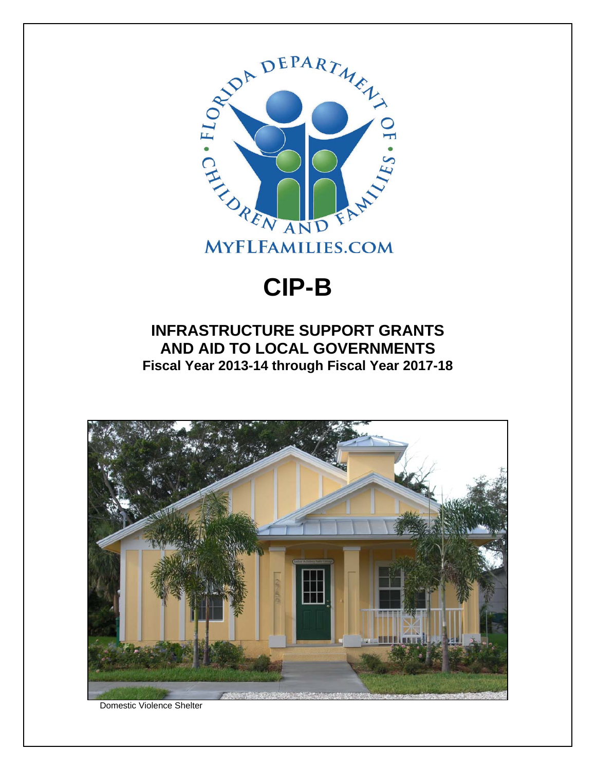

## **CIP-B**

## **INFRASTRUCTURE SUPPORT GRANTS AND AID TO LOCAL GOVERNMENTS Fiscal Year 2013-14 through Fiscal Year 2017-18**



Domestic Violence Shelter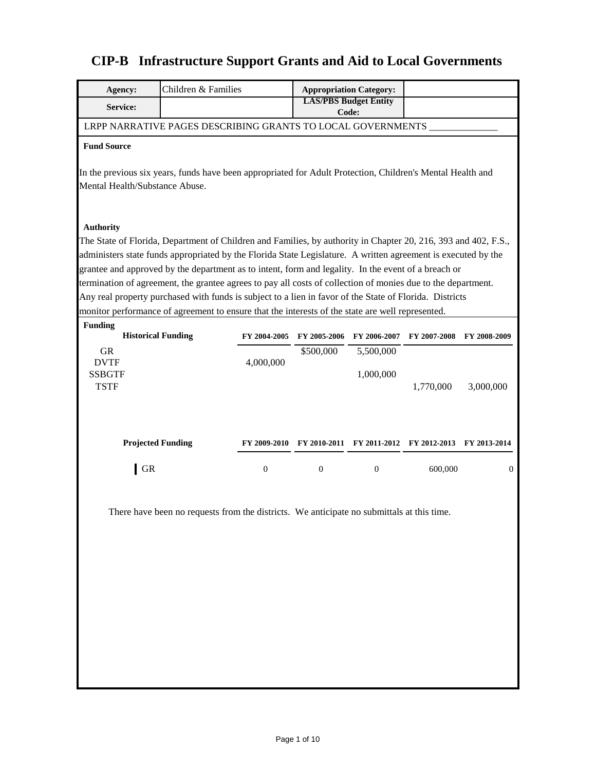## **CIP-B Infrastructure Support Grants and Aid to Local Governments**

| Children & Families<br>Agency:                                                                                                               |                  |                  | <b>Appropriation Category:</b>        |                                                     |              |
|----------------------------------------------------------------------------------------------------------------------------------------------|------------------|------------------|---------------------------------------|-----------------------------------------------------|--------------|
| <b>Service:</b>                                                                                                                              |                  |                  | <b>LAS/PBS Budget Entity</b><br>Code: |                                                     |              |
| LRPP NARRATIVE PAGES DESCRIBING GRANTS TO LOCAL GOVERNMENTS                                                                                  |                  |                  |                                       |                                                     |              |
| <b>Fund Source</b>                                                                                                                           |                  |                  |                                       |                                                     |              |
| In the previous six years, funds have been appropriated for Adult Protection, Children's Mental Health and<br>Mental Health/Substance Abuse. |                  |                  |                                       |                                                     |              |
| <b>Authority</b><br>The State of Florida, Department of Children and Families, by authority in Chapter 20, 216, 393 and 402, F.S.,           |                  |                  |                                       |                                                     |              |
| administers state funds appropriated by the Florida State Legislature. A written agreement is executed by the                                |                  |                  |                                       |                                                     |              |
| grantee and approved by the department as to intent, form and legality. In the event of a breach or                                          |                  |                  |                                       |                                                     |              |
| termination of agreement, the grantee agrees to pay all costs of collection of monies due to the department.                                 |                  |                  |                                       |                                                     |              |
| Any real property purchased with funds is subject to a lien in favor of the State of Florida. Districts                                      |                  |                  |                                       |                                                     |              |
| monitor performance of agreement to ensure that the interests of the state are well represented.                                             |                  |                  |                                       |                                                     |              |
| <b>Funding</b><br><b>Historical Funding</b>                                                                                                  | FY 2004-2005     | FY 2005-2006     | FY 2006-2007                          | FY 2007-2008                                        | FY 2008-2009 |
| <b>GR</b>                                                                                                                                    |                  | \$500,000        | 5,500,000                             |                                                     |              |
| <b>DVTF</b>                                                                                                                                  | 4,000,000        |                  |                                       |                                                     |              |
| <b>SSBGTF</b><br><b>TSTF</b>                                                                                                                 |                  |                  | 1,000,000                             | 1,770,000                                           | 3,000,000    |
| <b>Projected Funding</b>                                                                                                                     |                  |                  |                                       | FY 2009-2010 FY 2010-2011 FY 2011-2012 FY 2012-2013 | FY 2013-2014 |
| <b>GR</b>                                                                                                                                    | $\boldsymbol{0}$ | $\boldsymbol{0}$ | $\theta$                              | 600,000                                             | $\theta$     |
| There have been no requests from the districts. We anticipate no submittals at this time                                                     |                  |                  |                                       |                                                     |              |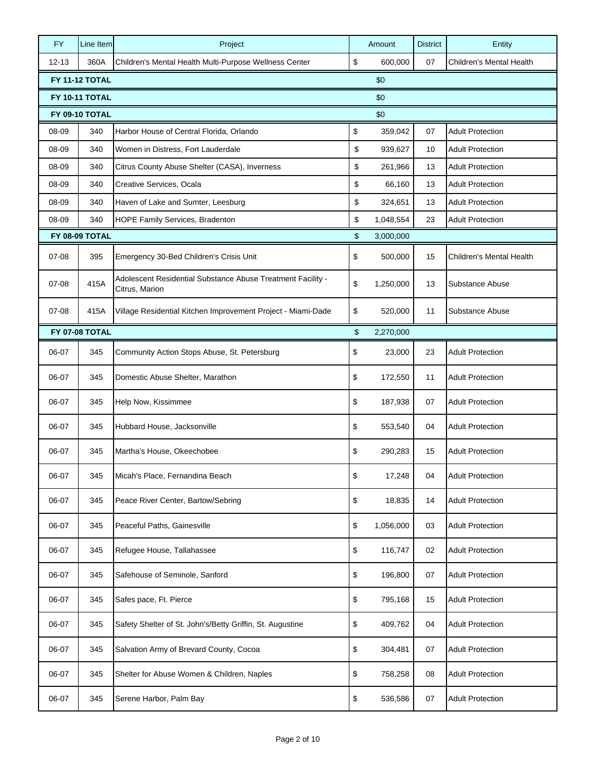| <b>FY</b> | Line Item             | Project                                                                       | Amount          | <b>District</b> | Entity                          |
|-----------|-----------------------|-------------------------------------------------------------------------------|-----------------|-----------------|---------------------------------|
| $12 - 13$ | 360A                  | Children's Mental Health Multi-Purpose Wellness Center                        | \$<br>600,000   | 07              | Children's Mental Health        |
|           | <b>FY 11-12 TOTAL</b> |                                                                               | \$0             |                 |                                 |
|           | <b>FY 10-11 TOTAL</b> |                                                                               | \$0             |                 |                                 |
|           | FY 09-10 TOTAL        |                                                                               | \$0             |                 |                                 |
| 08-09     | 340                   | Harbor House of Central Florida, Orlando                                      | \$<br>359,042   | 07              | <b>Adult Protection</b>         |
| 08-09     | 340                   | Women in Distress, Fort Lauderdale                                            | \$<br>939,627   | 10              | <b>Adult Protection</b>         |
| 08-09     | 340                   | Citrus County Abuse Shelter (CASA), Inverness                                 | \$<br>261,966   | 13              | <b>Adult Protection</b>         |
| 08-09     | 340                   | Creative Services, Ocala                                                      | \$<br>66,160    | 13              | <b>Adult Protection</b>         |
| 08-09     | 340                   | Haven of Lake and Sumter, Leesburg                                            | \$<br>324,651   | 13              | <b>Adult Protection</b>         |
| 08-09     | 340                   | HOPE Family Services, Bradenton                                               | \$<br>1,048,554 | 23              | <b>Adult Protection</b>         |
|           | FY 08-09 TOTAL        |                                                                               | \$<br>3,000,000 |                 |                                 |
| $07 - 08$ | 395                   | Emergency 30-Bed Children's Crisis Unit                                       | \$<br>500,000   | 15              | <b>Children's Mental Health</b> |
| $07 - 08$ | 415A                  | Adolescent Residential Substance Abuse Treatment Facility -<br>Citrus, Marion | \$<br>1,250,000 | 13              | Substance Abuse                 |
| $07 - 08$ | 415A                  | Village Residential Kitchen Improvement Project - Miami-Dade                  | \$<br>520,000   | 11              | Substance Abuse                 |
|           | <b>FY 07-08 TOTAL</b> |                                                                               | \$<br>2,270,000 |                 |                                 |
| 06-07     | 345                   | Community Action Stops Abuse, St. Petersburg                                  | \$<br>23,000    | 23              | <b>Adult Protection</b>         |
| 06-07     | 345                   | Domestic Abuse Shelter, Marathon                                              | \$<br>172,550   | 11              | <b>Adult Protection</b>         |
| 06-07     | 345                   | Help Now, Kissimmee                                                           | \$<br>187,938   | 07              | <b>Adult Protection</b>         |
| 06-07     | 345                   | Hubbard House, Jacksonville                                                   | \$<br>553,540   | 04              | <b>Adult Protection</b>         |
| 06-07     | 345                   | Martha's House, Okeechobee                                                    | \$<br>290,283   | 15              | <b>Adult Protection</b>         |
| 06-07     | 345                   | Micah's Place, Fernandina Beach                                               | \$<br>17,248    | 04              | <b>Adult Protection</b>         |
| 06-07     | 345                   | Peace River Center, Bartow/Sebring                                            | \$<br>18,835    | 14              | <b>Adult Protection</b>         |
| 06-07     | 345                   | Peaceful Paths, Gainesville                                                   | \$<br>1,056,000 | 03              | <b>Adult Protection</b>         |
| 06-07     | 345                   | Refugee House, Tallahassee                                                    | \$<br>116,747   | 02              | <b>Adult Protection</b>         |
| 06-07     | 345                   | Safehouse of Seminole, Sanford                                                | \$<br>196,800   | 07              | <b>Adult Protection</b>         |
| 06-07     | 345                   | Safes pace, Ft. Pierce                                                        | \$<br>795,168   | 15              | <b>Adult Protection</b>         |
| 06-07     | 345                   | Safety Shelter of St. John's/Betty Griffin, St. Augustine                     | \$<br>409,762   | 04              | <b>Adult Protection</b>         |
| 06-07     | 345                   | Salvation Army of Brevard County, Cocoa                                       | \$<br>304,481   | 07              | <b>Adult Protection</b>         |
| 06-07     | 345                   | Shelter for Abuse Women & Children, Naples                                    | \$<br>758,258   | 08              | <b>Adult Protection</b>         |
| 06-07     | 345                   | Serene Harbor, Palm Bay                                                       | \$<br>536,586   | 07              | <b>Adult Protection</b>         |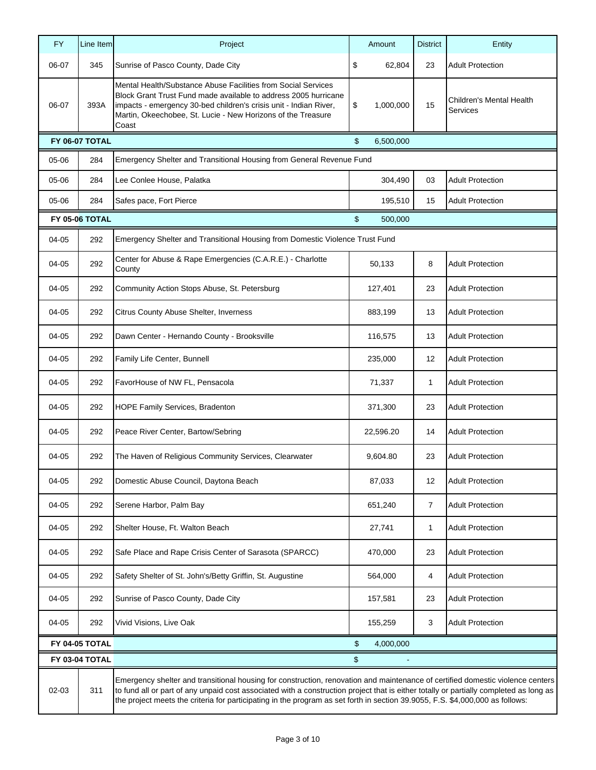| <b>FY</b>                                                                                                                                                                                                                                                                                                                                                                                                                 | Line Item                                                                   | Project                                                                                                                                                                                                                                                                        |    | Amount    | <b>District</b> | Entity                               |  |
|---------------------------------------------------------------------------------------------------------------------------------------------------------------------------------------------------------------------------------------------------------------------------------------------------------------------------------------------------------------------------------------------------------------------------|-----------------------------------------------------------------------------|--------------------------------------------------------------------------------------------------------------------------------------------------------------------------------------------------------------------------------------------------------------------------------|----|-----------|-----------------|--------------------------------------|--|
| 06-07                                                                                                                                                                                                                                                                                                                                                                                                                     | 345                                                                         | Sunrise of Pasco County, Dade City                                                                                                                                                                                                                                             | \$ | 62,804    | 23              | <b>Adult Protection</b>              |  |
| 06-07                                                                                                                                                                                                                                                                                                                                                                                                                     | 393A                                                                        | Mental Health/Substance Abuse Facilities from Social Services<br>Block Grant Trust Fund made available to address 2005 hurricane<br>impacts - emergency 30-bed children's crisis unit - Indian River,<br>Martin, Okeechobee, St. Lucie - New Horizons of the Treasure<br>Coast | \$ | 1,000,000 | 15              | Children's Mental Health<br>Services |  |
|                                                                                                                                                                                                                                                                                                                                                                                                                           | FY 06-07 TOTAL                                                              |                                                                                                                                                                                                                                                                                | \$ | 6,500,000 |                 |                                      |  |
| 05-06                                                                                                                                                                                                                                                                                                                                                                                                                     | Emergency Shelter and Transitional Housing from General Revenue Fund<br>284 |                                                                                                                                                                                                                                                                                |    |           |                 |                                      |  |
| 05-06                                                                                                                                                                                                                                                                                                                                                                                                                     | 284                                                                         | Lee Conlee House, Palatka                                                                                                                                                                                                                                                      |    | 304,490   | 03              | <b>Adult Protection</b>              |  |
| 05-06                                                                                                                                                                                                                                                                                                                                                                                                                     | 284                                                                         | Safes pace, Fort Pierce                                                                                                                                                                                                                                                        |    | 195,510   | 15              | <b>Adult Protection</b>              |  |
|                                                                                                                                                                                                                                                                                                                                                                                                                           | <b>FY 05-06 TOTAL</b>                                                       |                                                                                                                                                                                                                                                                                | \$ | 500,000   |                 |                                      |  |
| 04-05                                                                                                                                                                                                                                                                                                                                                                                                                     | 292                                                                         | Emergency Shelter and Transitional Housing from Domestic Violence Trust Fund                                                                                                                                                                                                   |    |           |                 |                                      |  |
| 04-05                                                                                                                                                                                                                                                                                                                                                                                                                     | 292                                                                         | Center for Abuse & Rape Emergencies (C.A.R.E.) - Charlotte<br>County                                                                                                                                                                                                           |    | 50,133    | 8               | <b>Adult Protection</b>              |  |
| 04-05                                                                                                                                                                                                                                                                                                                                                                                                                     | 292                                                                         | Community Action Stops Abuse, St. Petersburg                                                                                                                                                                                                                                   |    | 127,401   | 23              | <b>Adult Protection</b>              |  |
| 04-05                                                                                                                                                                                                                                                                                                                                                                                                                     | 292                                                                         | Citrus County Abuse Shelter, Inverness                                                                                                                                                                                                                                         |    | 883,199   | 13              | <b>Adult Protection</b>              |  |
| 04-05                                                                                                                                                                                                                                                                                                                                                                                                                     | 292                                                                         | Dawn Center - Hernando County - Brooksville                                                                                                                                                                                                                                    |    | 116,575   | 13              | <b>Adult Protection</b>              |  |
| 04-05                                                                                                                                                                                                                                                                                                                                                                                                                     | 292                                                                         | Family Life Center, Bunnell                                                                                                                                                                                                                                                    |    | 235,000   | 12              | <b>Adult Protection</b>              |  |
| 04-05                                                                                                                                                                                                                                                                                                                                                                                                                     | 292                                                                         | FavorHouse of NW FL, Pensacola                                                                                                                                                                                                                                                 |    | 71,337    | 1               | <b>Adult Protection</b>              |  |
| 04-05                                                                                                                                                                                                                                                                                                                                                                                                                     | 292                                                                         | HOPE Family Services, Bradenton                                                                                                                                                                                                                                                |    | 371,300   | 23              | <b>Adult Protection</b>              |  |
| 04-05                                                                                                                                                                                                                                                                                                                                                                                                                     | 292                                                                         | Peace River Center, Bartow/Sebring                                                                                                                                                                                                                                             |    | 22,596.20 | 14              | <b>Adult Protection</b>              |  |
| 04-05                                                                                                                                                                                                                                                                                                                                                                                                                     | 292                                                                         | The Haven of Religious Community Services, Clearwater                                                                                                                                                                                                                          |    | 9,604.80  | 23              | <b>Adult Protection</b>              |  |
| 04-05                                                                                                                                                                                                                                                                                                                                                                                                                     | 292                                                                         | Domestic Abuse Council, Daytona Beach                                                                                                                                                                                                                                          |    | 87,033    | 12              | <b>Adult Protection</b>              |  |
| 04-05                                                                                                                                                                                                                                                                                                                                                                                                                     | 292                                                                         | Serene Harbor, Palm Bay                                                                                                                                                                                                                                                        |    | 651,240   | $\overline{7}$  | <b>Adult Protection</b>              |  |
| 04-05                                                                                                                                                                                                                                                                                                                                                                                                                     | 292                                                                         | Shelter House, Ft. Walton Beach                                                                                                                                                                                                                                                |    | 27,741    | 1               | <b>Adult Protection</b>              |  |
| 04-05                                                                                                                                                                                                                                                                                                                                                                                                                     | 292                                                                         | Safe Place and Rape Crisis Center of Sarasota (SPARCC)                                                                                                                                                                                                                         |    | 470,000   | 23              | <b>Adult Protection</b>              |  |
| 04-05                                                                                                                                                                                                                                                                                                                                                                                                                     | 292                                                                         | Safety Shelter of St. John's/Betty Griffin, St. Augustine                                                                                                                                                                                                                      |    | 564,000   | 4               | <b>Adult Protection</b>              |  |
| 04-05                                                                                                                                                                                                                                                                                                                                                                                                                     | 292                                                                         | Sunrise of Pasco County, Dade City                                                                                                                                                                                                                                             |    | 157,581   | 23              | <b>Adult Protection</b>              |  |
| 04-05                                                                                                                                                                                                                                                                                                                                                                                                                     | 292                                                                         | Vivid Visions, Live Oak                                                                                                                                                                                                                                                        |    | 155,259   | 3               | <b>Adult Protection</b>              |  |
|                                                                                                                                                                                                                                                                                                                                                                                                                           | FY 04-05 TOTAL                                                              |                                                                                                                                                                                                                                                                                | \$ | 4,000,000 |                 |                                      |  |
|                                                                                                                                                                                                                                                                                                                                                                                                                           | FY 03-04 TOTAL                                                              |                                                                                                                                                                                                                                                                                | \$ |           |                 |                                      |  |
| Emergency shelter and transitional housing for construction, renovation and maintenance of certified domestic violence centers<br>to fund all or part of any unpaid cost associated with a construction project that is either totally or partially completed as long as<br>02-03<br>311<br>the project meets the criteria for participating in the program as set forth in section 39.9055, F.S. \$4,000,000 as follows: |                                                                             |                                                                                                                                                                                                                                                                                |    |           |                 |                                      |  |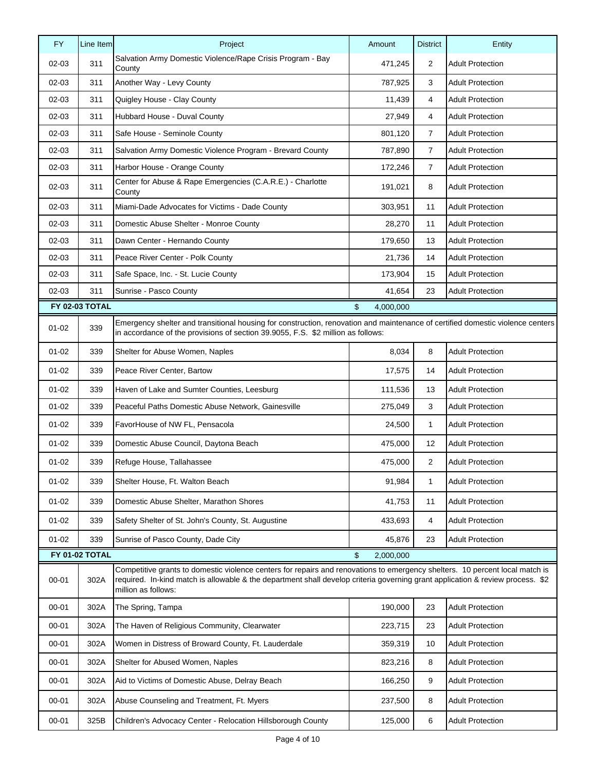| <b>FY</b> | Line Item      | Project                                                                                                                                                                                                                                                                               | Amount          | <b>District</b> | Entity                  |
|-----------|----------------|---------------------------------------------------------------------------------------------------------------------------------------------------------------------------------------------------------------------------------------------------------------------------------------|-----------------|-----------------|-------------------------|
| $02 - 03$ | 311            | Salvation Army Domestic Violence/Rape Crisis Program - Bay<br>County                                                                                                                                                                                                                  | 471,245         | 2               | <b>Adult Protection</b> |
| $02 - 03$ | 311            | Another Way - Levy County                                                                                                                                                                                                                                                             | 787,925         | 3               | <b>Adult Protection</b> |
| $02 - 03$ | 311            | Quigley House - Clay County                                                                                                                                                                                                                                                           | 11,439          | 4               | <b>Adult Protection</b> |
| $02 - 03$ | 311            | Hubbard House - Duval County                                                                                                                                                                                                                                                          | 27,949          | 4               | <b>Adult Protection</b> |
| 02-03     | 311            | Safe House - Seminole County                                                                                                                                                                                                                                                          | 801,120         | $\overline{7}$  | <b>Adult Protection</b> |
| $02 - 03$ | 311            | Salvation Army Domestic Violence Program - Brevard County                                                                                                                                                                                                                             | 787,890         | $\overline{7}$  | <b>Adult Protection</b> |
| $02 - 03$ | 311            | Harbor House - Orange County                                                                                                                                                                                                                                                          | 172,246         | $\overline{7}$  | <b>Adult Protection</b> |
| $02 - 03$ | 311            | Center for Abuse & Rape Emergencies (C.A.R.E.) - Charlotte<br>County                                                                                                                                                                                                                  | 191,021         | 8               | <b>Adult Protection</b> |
| $02 - 03$ | 311            | Miami-Dade Advocates for Victims - Dade County                                                                                                                                                                                                                                        | 303,951         | 11              | <b>Adult Protection</b> |
| 02-03     | 311            | Domestic Abuse Shelter - Monroe County                                                                                                                                                                                                                                                | 28,270          | 11              | <b>Adult Protection</b> |
| $02 - 03$ | 311            | Dawn Center - Hernando County                                                                                                                                                                                                                                                         | 179,650         | 13              | <b>Adult Protection</b> |
| $02 - 03$ | 311            | Peace River Center - Polk County                                                                                                                                                                                                                                                      | 21,736          | 14              | <b>Adult Protection</b> |
| $02 - 03$ | 311            | Safe Space, Inc. - St. Lucie County                                                                                                                                                                                                                                                   | 173,904         | 15              | <b>Adult Protection</b> |
| $02 - 03$ | 311            | Sunrise - Pasco County                                                                                                                                                                                                                                                                | 41,654          | 23              | <b>Adult Protection</b> |
|           | FY 02-03 TOTAL |                                                                                                                                                                                                                                                                                       | \$<br>4,000,000 |                 |                         |
| $01 - 02$ | 339            | Emergency shelter and transitional housing for construction, renovation and maintenance of certified domestic violence centers<br>in accordance of the provisions of section 39.9055, F.S. \$2 million as follows:                                                                    |                 |                 |                         |
| $01 - 02$ | 339            | Shelter for Abuse Women, Naples                                                                                                                                                                                                                                                       | 8,034           | 8               | <b>Adult Protection</b> |
| $01 - 02$ | 339            | Peace River Center, Bartow                                                                                                                                                                                                                                                            | 17,575          | 14              | <b>Adult Protection</b> |
| $01 - 02$ | 339            | Haven of Lake and Sumter Counties, Leesburg                                                                                                                                                                                                                                           | 111,536         | 13              | <b>Adult Protection</b> |
| $01 - 02$ | 339            | Peaceful Paths Domestic Abuse Network, Gainesville                                                                                                                                                                                                                                    | 275,049         | 3               | <b>Adult Protection</b> |
| $01 - 02$ | 339            | FavorHouse of NW FL, Pensacola                                                                                                                                                                                                                                                        | 24,500          | 1               | <b>Adult Protection</b> |
| $01 - 02$ | 339            | Domestic Abuse Council, Daytona Beach                                                                                                                                                                                                                                                 | 475,000         | 12              | <b>Adult Protection</b> |
| $01 - 02$ | 339            | Refuge House, Tallahassee                                                                                                                                                                                                                                                             | 475,000         | 2               | <b>Adult Protection</b> |
| $01 - 02$ | 339            | Shelter House, Ft. Walton Beach                                                                                                                                                                                                                                                       | 91,984          | $\mathbf{1}$    | <b>Adult Protection</b> |
| $01 - 02$ | 339            | Domestic Abuse Shelter, Marathon Shores                                                                                                                                                                                                                                               | 41,753          | 11              | <b>Adult Protection</b> |
| $01 - 02$ | 339            | Safety Shelter of St. John's County, St. Augustine                                                                                                                                                                                                                                    | 433,693         | 4               | <b>Adult Protection</b> |
| $01 - 02$ | 339            | Sunrise of Pasco County, Dade City                                                                                                                                                                                                                                                    | 45,876          | 23              | <b>Adult Protection</b> |
|           | FY 01-02 TOTAL |                                                                                                                                                                                                                                                                                       | \$<br>2,000,000 |                 |                         |
| $00 - 01$ | 302A           | Competitive grants to domestic violence centers for repairs and renovations to emergency shelters. 10 percent local match is<br>required. In-kind match is allowable & the department shall develop criteria governing grant application & review process. \$2<br>million as follows: |                 |                 |                         |
| $00 - 01$ | 302A           | The Spring, Tampa                                                                                                                                                                                                                                                                     | 190,000         | 23              | <b>Adult Protection</b> |
| $00 - 01$ | 302A           | The Haven of Religious Community, Clearwater                                                                                                                                                                                                                                          | 223,715         | 23              | <b>Adult Protection</b> |
| $00 - 01$ | 302A           | Women in Distress of Broward County, Ft. Lauderdale                                                                                                                                                                                                                                   | 359,319         | 10              | <b>Adult Protection</b> |
| $00 - 01$ | 302A           | Shelter for Abused Women, Naples                                                                                                                                                                                                                                                      | 823,216         | 8               | <b>Adult Protection</b> |
| $00 - 01$ | 302A           | Aid to Victims of Domestic Abuse, Delray Beach                                                                                                                                                                                                                                        | 166,250         | 9               | <b>Adult Protection</b> |
| $00 - 01$ | 302A           | Abuse Counseling and Treatment, Ft. Myers                                                                                                                                                                                                                                             | 237,500         | 8               | <b>Adult Protection</b> |
| $00 - 01$ | 325B           | Children's Advocacy Center - Relocation Hillsborough County                                                                                                                                                                                                                           | 125,000         | 6               | <b>Adult Protection</b> |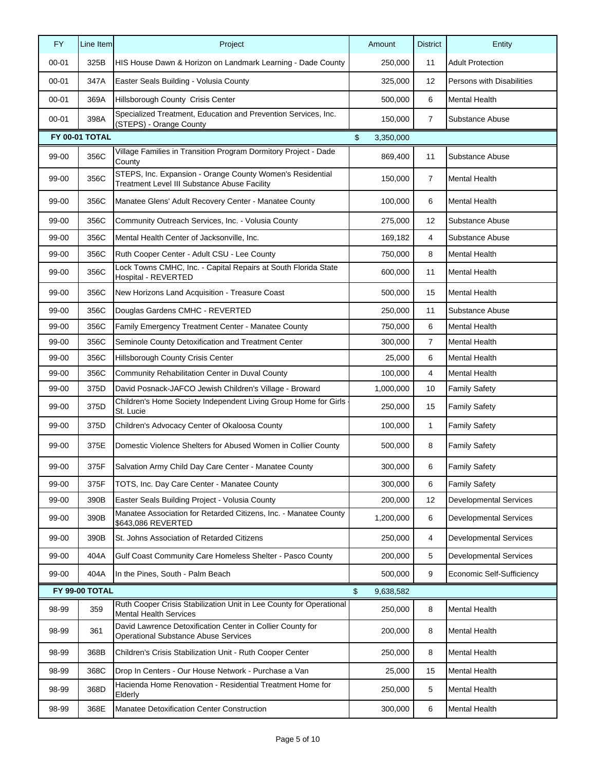| <b>FY</b> | Line Item      | Project                                                                                                   | Amount          | <b>District</b> | Entity                        |
|-----------|----------------|-----------------------------------------------------------------------------------------------------------|-----------------|-----------------|-------------------------------|
| $00 - 01$ | 325B           | HIS House Dawn & Horizon on Landmark Learning - Dade County                                               | 250,000         | 11              | <b>Adult Protection</b>       |
| $00 - 01$ | 347A           | Easter Seals Building - Volusia County                                                                    | 325,000         | 12              | Persons with Disabilities     |
| $00 - 01$ | 369A           | Hillsborough County Crisis Center                                                                         | 500,000         | 6               | <b>Mental Health</b>          |
| $00 - 01$ | 398A           | Specialized Treatment, Education and Prevention Services, Inc.<br>(STEPS) - Orange County                 | 150,000         | $\overline{7}$  | Substance Abuse               |
|           | FY 00-01 TOTAL |                                                                                                           | \$<br>3,350,000 |                 |                               |
| 99-00     | 356C           | Village Families in Transition Program Dormitory Project - Dade<br>County                                 | 869,400         | 11              | Substance Abuse               |
| 99-00     | 356C           | STEPS, Inc. Expansion - Orange County Women's Residential<br>Treatment Level III Substance Abuse Facility | 150,000         | 7               | <b>Mental Health</b>          |
| 99-00     | 356C           | Manatee Glens' Adult Recovery Center - Manatee County                                                     | 100,000         | 6               | <b>Mental Health</b>          |
| 99-00     | 356C           | Community Outreach Services, Inc. - Volusia County                                                        | 275,000         | 12              | Substance Abuse               |
| 99-00     | 356C           | Mental Health Center of Jacksonville, Inc.                                                                | 169,182         | 4               | Substance Abuse               |
| 99-00     | 356C           | Ruth Cooper Center - Adult CSU - Lee County                                                               | 750,000         | 8               | <b>Mental Health</b>          |
| 99-00     | 356C           | Lock Towns CMHC, Inc. - Capital Repairs at South Florida State<br>Hospital - REVERTED                     | 600,000         | 11              | Mental Health                 |
| 99-00     | 356C           | New Horizons Land Acquisition - Treasure Coast                                                            | 500,000         | 15              | Mental Health                 |
| 99-00     | 356C           | Douglas Gardens CMHC - REVERTED                                                                           | 250,000         | 11              | Substance Abuse               |
| 99-00     | 356C           | Family Emergency Treatment Center - Manatee County                                                        | 750,000         | 6               | <b>Mental Health</b>          |
| 99-00     | 356C           | Seminole County Detoxification and Treatment Center                                                       | 300,000         | 7               | <b>Mental Health</b>          |
| 99-00     | 356C           | Hillsborough County Crisis Center                                                                         | 25,000          | 6               | <b>Mental Health</b>          |
| 99-00     | 356C           | Community Rehabilitation Center in Duval County                                                           | 100,000         | 4               | <b>Mental Health</b>          |
| 99-00     | 375D           | David Posnack-JAFCO Jewish Children's Village - Broward                                                   | 1,000,000       | 10              | <b>Family Safety</b>          |
| 99-00     | 375D           | Children's Home Society Independent Living Group Home for Girls<br>St. Lucie                              | 250,000         | 15              | <b>Family Safety</b>          |
| 99-00     | 375D           | Children's Advocacy Center of Okaloosa County                                                             | 100,000         | $\mathbf{1}$    | <b>Family Safety</b>          |
| 99-00     | 375E           | Domestic Violence Shelters for Abused Women in Collier County                                             | 500,000         | 8               | <b>Family Safety</b>          |
| 99-00     | 375F           | Salvation Army Child Day Care Center - Manatee County                                                     | 300,000         | 6               | <b>Family Safety</b>          |
| 99-00     | 375F           | TOTS, Inc. Day Care Center - Manatee County                                                               | 300,000         | 6               | <b>Family Safety</b>          |
| 99-00     | 390B           | Easter Seals Building Project - Volusia County                                                            | 200,000         | 12              | <b>Developmental Services</b> |
| 99-00     | 390B           | Manatee Association for Retarded Citizens, Inc. - Manatee County<br>\$643,086 REVERTED                    | 1,200,000       | 6               | <b>Developmental Services</b> |
| 99-00     | 390B           | St. Johns Association of Retarded Citizens                                                                | 250,000         | 4               | <b>Developmental Services</b> |
| 99-00     | 404A           | Gulf Coast Community Care Homeless Shelter - Pasco County                                                 | 200,000         | 5               | <b>Developmental Services</b> |
| 99-00     | 404A           | In the Pines, South - Palm Beach                                                                          | 500,000         | 9               | Economic Self-Sufficiency     |
|           | FY 99-00 TOTAL |                                                                                                           | \$<br>9,638,582 |                 |                               |
| 98-99     | 359            | Ruth Cooper Crisis Stabilization Unit in Lee County for Operational<br><b>Mental Health Services</b>      | 250,000         | 8               | <b>Mental Health</b>          |
| 98-99     | 361            | David Lawrence Detoxification Center in Collier County for<br><b>Operational Substance Abuse Services</b> | 200,000         | 8               | Mental Health                 |
| 98-99     | 368B           | Children's Crisis Stabilization Unit - Ruth Cooper Center                                                 | 250,000         | 8               | <b>Mental Health</b>          |
| 98-99     | 368C           | Drop In Centers - Our House Network - Purchase a Van                                                      | 25,000          | 15              | <b>Mental Health</b>          |
| 98-99     | 368D           | Hacienda Home Renovation - Residential Treatment Home for<br>Elderly                                      | 250,000         | 5               | <b>Mental Health</b>          |
| 98-99     | 368E           | Manatee Detoxification Center Construction                                                                | 300,000         | 6               | <b>Mental Health</b>          |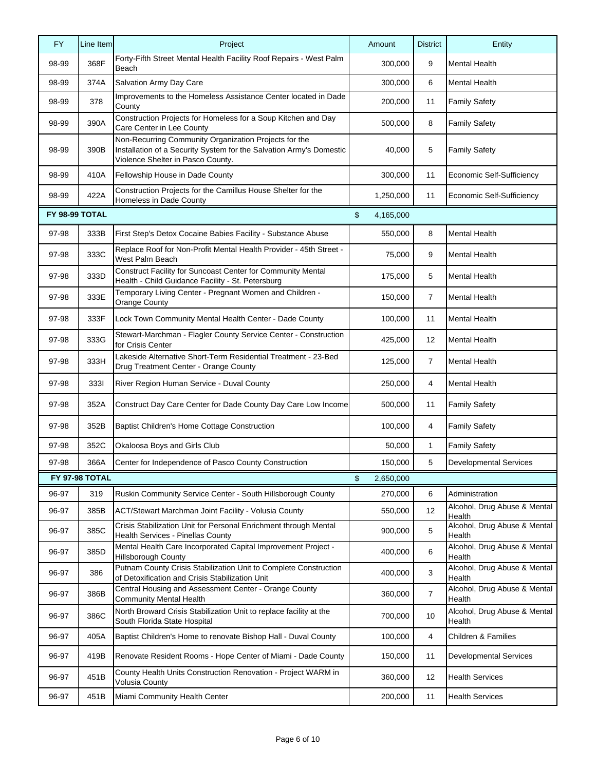| <b>FY</b> | Line Item      | Project                                                                                                                                                           | Amount          | <b>District</b> | Entity                                 |
|-----------|----------------|-------------------------------------------------------------------------------------------------------------------------------------------------------------------|-----------------|-----------------|----------------------------------------|
| 98-99     | 368F           | Forty-Fifth Street Mental Health Facility Roof Repairs - West Palm<br>Beach                                                                                       | 300,000         | 9               | <b>Mental Health</b>                   |
| 98-99     | 374A           | Salvation Army Day Care                                                                                                                                           | 300,000         | 6               | <b>Mental Health</b>                   |
| 98-99     | 378            | Improvements to the Homeless Assistance Center located in Dade<br>County                                                                                          | 200,000         | 11              | <b>Family Safety</b>                   |
| 98-99     | 390A           | Construction Projects for Homeless for a Soup Kitchen and Day<br>Care Center in Lee County                                                                        | 500,000         | 8               | <b>Family Safety</b>                   |
| 98-99     | 390B           | Non-Recurring Community Organization Projects for the<br>Installation of a Security System for the Salvation Army's Domestic<br>Violence Shelter in Pasco County. | 40,000          | 5               | <b>Family Safety</b>                   |
| 98-99     | 410A           | Fellowship House in Dade County                                                                                                                                   | 300,000         | 11              | Economic Self-Sufficiency              |
| 98-99     | 422A           | Construction Projects for the Camillus House Shelter for the<br>Homeless in Dade County                                                                           | 1,250,000       | 11              | Economic Self-Sufficiency              |
|           | FY 98-99 TOTAL |                                                                                                                                                                   | \$<br>4,165,000 |                 |                                        |
| 97-98     | 333B           | First Step's Detox Cocaine Babies Facility - Substance Abuse                                                                                                      | 550,000         | 8               | <b>Mental Health</b>                   |
| 97-98     | 333C           | Replace Roof for Non-Profit Mental Health Provider - 45th Street -<br>West Palm Beach                                                                             | 75,000          | 9               | <b>Mental Health</b>                   |
| 97-98     | 333D           | Construct Facility for Suncoast Center for Community Mental<br>Health - Child Guidance Facility - St. Petersburg                                                  | 175,000         | 5               | <b>Mental Health</b>                   |
| 97-98     | 333E           | Temporary Living Center - Pregnant Women and Children -<br>Orange County                                                                                          | 150,000         | $\overline{7}$  | <b>Mental Health</b>                   |
| 97-98     | 333F           | Lock Town Community Mental Health Center - Dade County                                                                                                            | 100,000         | 11              | <b>Mental Health</b>                   |
| 97-98     | 333G           | Stewart-Marchman - Flagler County Service Center - Construction<br>for Crisis Center                                                                              | 425,000         | 12              | <b>Mental Health</b>                   |
| 97-98     | 333H           | Lakeside Alternative Short-Term Residential Treatment - 23-Bed<br>Drug Treatment Center - Orange County                                                           | 125,000         | $\overline{7}$  | <b>Mental Health</b>                   |
| 97-98     | 3331           | River Region Human Service - Duval County                                                                                                                         | 250,000         | 4               | <b>Mental Health</b>                   |
| 97-98     | 352A           | Construct Day Care Center for Dade County Day Care Low Income                                                                                                     | 500,000         | 11              | <b>Family Safety</b>                   |
| 97-98     | 352B           | Baptist Children's Home Cottage Construction                                                                                                                      | 100,000         | 4               | <b>Family Safety</b>                   |
| 97-98     | 352C           | Okaloosa Boys and Girls Club                                                                                                                                      | 50,000          | 1               | <b>Family Safety</b>                   |
| 97-98     | 366A           | Center for Independence of Pasco County Construction                                                                                                              | 150,000         | 5               | <b>Developmental Services</b>          |
|           | FY 97-98 TOTAL |                                                                                                                                                                   | \$<br>2,650,000 |                 |                                        |
| 96-97     | 319            | Ruskin Community Service Center - South Hillsborough County                                                                                                       | 270,000         | 6               | Administration                         |
| 96-97     | 385B           | ACT/Stewart Marchman Joint Facility - Volusia County                                                                                                              | 550,000         | 12              | Alcohol, Drug Abuse & Mental<br>Health |
| 96-97     | 385C           | Crisis Stabilization Unit for Personal Enrichment through Mental<br>Health Services - Pinellas County                                                             | 900,000         | 5               | Alcohol, Drug Abuse & Mental<br>Health |
| 96-97     | 385D           | Mental Health Care Incorporated Capital Improvement Project -<br><b>Hillsborough County</b>                                                                       | 400,000         | 6               | Alcohol, Drug Abuse & Mental<br>Health |
| 96-97     | 386            | Putnam County Crisis Stabilization Unit to Complete Construction<br>of Detoxification and Crisis Stabilization Unit                                               | 400,000         | 3               | Alcohol, Drug Abuse & Mental<br>Health |
| 96-97     | 386B           | Central Housing and Assessment Center - Orange County<br><b>Community Mental Health</b>                                                                           | 360,000         | $\overline{7}$  | Alcohol, Drug Abuse & Mental<br>Health |
| 96-97     | 386C           | North Broward Crisis Stabilization Unit to replace facility at the<br>South Florida State Hospital                                                                | 700,000         | 10              | Alcohol, Drug Abuse & Mental<br>Health |
| 96-97     | 405A           | Baptist Children's Home to renovate Bishop Hall - Duval County                                                                                                    | 100,000         | 4               | Children & Families                    |
| 96-97     | 419B           | Renovate Resident Rooms - Hope Center of Miami - Dade County                                                                                                      | 150,000         | 11              | <b>Developmental Services</b>          |
| 96-97     | 451B           | County Health Units Construction Renovation - Project WARM in<br><b>Volusia County</b>                                                                            | 360,000         | 12              | <b>Health Services</b>                 |
| 96-97     | 451B           | Miami Community Health Center                                                                                                                                     | 200,000         | 11              | <b>Health Services</b>                 |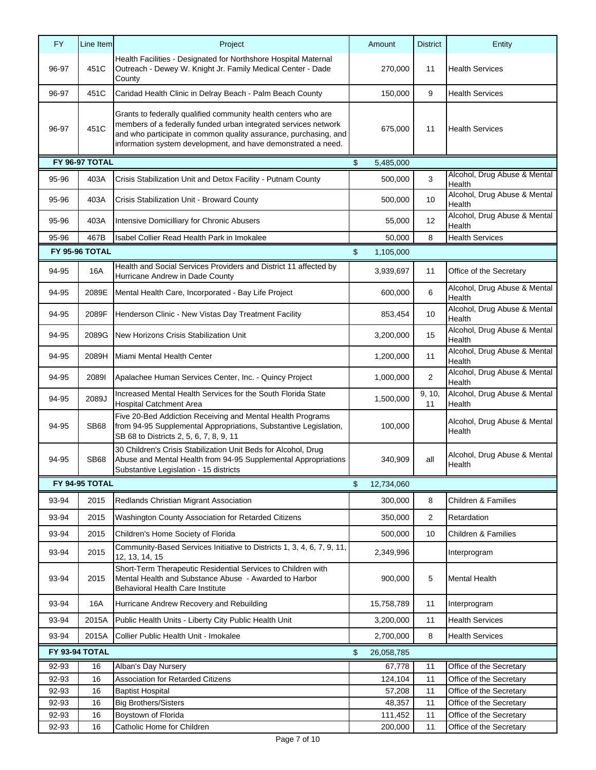| <b>FY</b> | Line Item             | Project                                                                                                                                                                                                                                                                | Amount                      | <b>District</b> | Entity                                 |
|-----------|-----------------------|------------------------------------------------------------------------------------------------------------------------------------------------------------------------------------------------------------------------------------------------------------------------|-----------------------------|-----------------|----------------------------------------|
| 96-97     | 451C                  | Health Facilities - Designated for Northshore Hospital Maternal<br>Outreach - Dewey W. Knight Jr. Family Medical Center - Dade<br>County                                                                                                                               | 270,000                     | 11              | <b>Health Services</b>                 |
| 96-97     | 451C                  | Caridad Health Clinic in Delray Beach - Palm Beach County                                                                                                                                                                                                              | 150,000                     | 9               | <b>Health Services</b>                 |
| 96-97     | 451C                  | Grants to federally qualified community health centers who are<br>members of a federally funded urban integrated services network<br>and who participate in common quality assurance, purchasing, and<br>information system development, and have demonstrated a need. | 675,000                     | 11              | <b>Health Services</b>                 |
|           | FY 96-97 TOTAL        |                                                                                                                                                                                                                                                                        | $\mathfrak{S}$<br>5,485,000 |                 |                                        |
| 95-96     | 403A                  | Crisis Stabilization Unit and Detox Facility - Putnam County                                                                                                                                                                                                           | 500,000                     | 3               | Alcohol, Drug Abuse & Mental<br>Health |
| 95-96     | 403A                  | Crisis Stabilization Unit - Broward County                                                                                                                                                                                                                             | 500,000                     | 10              | Alcohol, Drug Abuse & Mental<br>Health |
| 95-96     | 403A                  | Intensive Domicilliary for Chronic Abusers                                                                                                                                                                                                                             | 55,000                      | 12              | Alcohol, Drug Abuse & Mental<br>Health |
| 95-96     | 467B                  | Isabel Collier Read Health Park in Imokalee                                                                                                                                                                                                                            | 50,000                      | 8               | <b>Health Services</b>                 |
|           | <b>FY 95-96 TOTAL</b> |                                                                                                                                                                                                                                                                        | \$<br>1,105,000             |                 |                                        |
| 94-95     | 16A                   | Health and Social Services Providers and District 11 affected by<br>Hurricane Andrew in Dade County                                                                                                                                                                    | 3,939,697                   | 11              | Office of the Secretary                |
| 94-95     | 2089E                 | Mental Health Care, Incorporated - Bay Life Project                                                                                                                                                                                                                    | 600,000                     | 6               | Alcohol, Drug Abuse & Mental<br>Health |
| 94-95     | 2089F                 | Henderson Clinic - New Vistas Day Treatment Facility                                                                                                                                                                                                                   | 853,454                     | 10              | Alcohol, Drug Abuse & Mental<br>Health |
| 94-95     | 2089G                 | New Horizons Crisis Stabilization Unit                                                                                                                                                                                                                                 | 3,200,000                   | 15              | Alcohol, Drug Abuse & Mental<br>Health |
| 94-95     | 2089H                 | Miami Mental Health Center                                                                                                                                                                                                                                             | 1,200,000                   | 11              | Alcohol, Drug Abuse & Mental<br>Health |
| 94-95     | 20891                 | Apalachee Human Services Center, Inc. - Quincy Project                                                                                                                                                                                                                 | 1,000,000                   | $\overline{2}$  | Alcohol, Drug Abuse & Mental<br>Health |
| 94-95     | 2089J                 | Increased Mental Health Services for the South Florida State<br><b>Hospital Catchment Area</b>                                                                                                                                                                         | 1,500,000                   | 9, 10,<br>11    | Alcohol, Drug Abuse & Mental<br>Health |
| 94-95     | <b>SB68</b>           | Five 20-Bed Addiction Receiving and Mental Health Programs<br>from 94-95 Supplemental Appropriations, Substantive Legislation,<br>SB 68 to Districts 2, 5, 6, 7, 8, 9, 11                                                                                              | 100,000                     |                 | Alcohol, Drug Abuse & Mental<br>Health |
| 94-95     | <b>SB68</b>           | 30 Children's Crisis Stabilization Unit Beds for Alcohol, Drug<br>Abuse and Mental Health from 94-95 Supplemental Appropriations<br>Substantive Legislation - 15 districts                                                                                             | 340,909                     | all             | Alcohol, Drug Abuse & Mental<br>Health |
|           | FY 94-95 TOTAL        |                                                                                                                                                                                                                                                                        | \$<br>12,734,060            |                 |                                        |
| 93-94     | 2015                  | Redlands Christian Migrant Association                                                                                                                                                                                                                                 | 300,000                     | 8               | Children & Families                    |
| 93-94     | 2015                  | Washington County Association for Retarded Citizens                                                                                                                                                                                                                    | 350,000                     | 2               | Retardation                            |
| 93-94     | 2015                  | Children's Home Society of Florida                                                                                                                                                                                                                                     | 500,000                     | 10              | <b>Children &amp; Families</b>         |
| 93-94     | 2015                  | Community-Based Services Initiative to Districts 1, 3, 4, 6, 7, 9, 11,<br>12, 13, 14, 15                                                                                                                                                                               | 2,349,996                   |                 | Interprogram                           |
| 93-94     | 2015                  | Short-Term Therapeutic Residential Services to Children with<br>Mental Health and Substance Abuse - Awarded to Harbor<br>Behavioral Health Care Institute                                                                                                              | 900,000                     | 5               | Mental Health                          |
| 93-94     | 16A                   | Hurricane Andrew Recovery and Rebuilding                                                                                                                                                                                                                               | 15,758,789                  | 11              | Interprogram                           |
| 93-94     | 2015A                 | Public Health Units - Liberty City Public Health Unit                                                                                                                                                                                                                  | 3,200,000                   | 11              | <b>Health Services</b>                 |
| 93-94     | 2015A                 | Collier Public Health Unit - Imokalee                                                                                                                                                                                                                                  | 2,700,000                   | 8               | <b>Health Services</b>                 |
|           | FY 93-94 TOTAL        |                                                                                                                                                                                                                                                                        | \$<br>26,058,785            |                 |                                        |
| 92-93     | 16                    | Alban's Day Nursery                                                                                                                                                                                                                                                    | 67,778                      | 11              | Office of the Secretary                |
| 92-93     | 16                    | Association for Retarded Citizens                                                                                                                                                                                                                                      | 124,104                     | 11              | Office of the Secretary                |
| 92-93     | 16                    | <b>Baptist Hospital</b>                                                                                                                                                                                                                                                | 57,208                      | 11              | Office of the Secretary                |
| 92-93     | 16                    | <b>Big Brothers/Sisters</b>                                                                                                                                                                                                                                            | 48,357                      | 11              | Office of the Secretary                |
| 92-93     | 16                    | Boystown of Florida                                                                                                                                                                                                                                                    | 111,452                     | 11              | Office of the Secretary                |
| 92-93     | 16                    | Catholic Home for Children                                                                                                                                                                                                                                             | 200,000                     | 11              | Office of the Secretary                |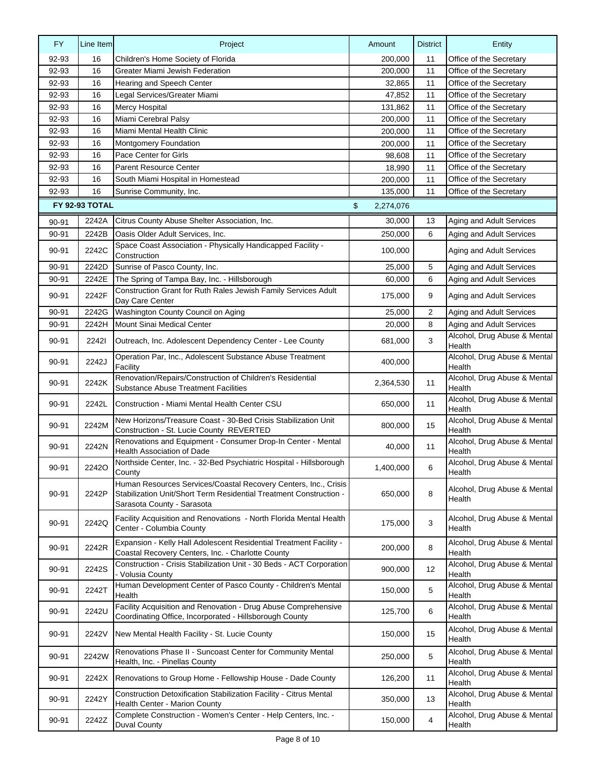| <b>FY</b> | Line Item      | Project                                                                                                                                                             | Amount          | <b>District</b> | Entity                                 |
|-----------|----------------|---------------------------------------------------------------------------------------------------------------------------------------------------------------------|-----------------|-----------------|----------------------------------------|
| 92-93     | 16             | Children's Home Society of Florida                                                                                                                                  | 200,000         | 11              | Office of the Secretary                |
| 92-93     | 16             | Greater Miami Jewish Federation                                                                                                                                     | 200,000         | 11              | Office of the Secretary                |
| 92-93     | 16             | Hearing and Speech Center                                                                                                                                           | 32,865          | 11              | Office of the Secretary                |
| 92-93     | 16             | Legal Services/Greater Miami                                                                                                                                        | 47,852          | 11              | Office of the Secretary                |
| 92-93     | 16             | <b>Mercy Hospital</b>                                                                                                                                               | 131,862         | 11              | Office of the Secretary                |
| 92-93     | 16             | Miami Cerebral Palsy                                                                                                                                                | 200,000         | 11              | Office of the Secretary                |
| 92-93     | 16             | Miami Mental Health Clinic                                                                                                                                          | 200,000         | 11              | Office of the Secretary                |
| 92-93     | 16             | Montgomery Foundation                                                                                                                                               | 200.000         | 11              | Office of the Secretary                |
| 92-93     | 16             | Pace Center for Girls                                                                                                                                               | 98,608          | 11              | Office of the Secretary                |
| 92-93     | 16             | <b>Parent Resource Center</b>                                                                                                                                       | 18,990          | 11              | Office of the Secretary                |
| 92-93     | 16             | South Miami Hospital in Homestead                                                                                                                                   | 200,000         | 11              | Office of the Secretary                |
| 92-93     | 16             | Sunrise Community, Inc.                                                                                                                                             | 135,000         | 11              | Office of the Secretary                |
|           | FY 92-93 TOTAL |                                                                                                                                                                     | \$<br>2,274,076 |                 |                                        |
| 90-91     | 2242A          | Citrus County Abuse Shelter Association, Inc.                                                                                                                       | 30,000          | 13              | Aging and Adult Services               |
| 90-91     | 2242B          | Oasis Older Adult Services, Inc.                                                                                                                                    | 250,000         | 6               | Aging and Adult Services               |
|           |                | Space Coast Association - Physically Handicapped Facility -                                                                                                         |                 |                 |                                        |
| 90-91     | 2242C          | Construction                                                                                                                                                        | 100,000         |                 | Aging and Adult Services               |
| 90-91     | 2242D          | Sunrise of Pasco County, Inc.                                                                                                                                       | 25,000          | 5               | Aging and Adult Services               |
| 90-91     | 2242E          | The Spring of Tampa Bay, Inc. - Hillsborough                                                                                                                        | 60,000          | 6               | Aging and Adult Services               |
| 90-91     | 2242F          | Construction Grant for Ruth Rales Jewish Family Services Adult<br>Day Care Center                                                                                   | 175,000         | 9               | Aging and Adult Services               |
| 90-91     | 2242G          | Washington County Council on Aging                                                                                                                                  | 25,000          | $\overline{2}$  | Aging and Adult Services               |
| 90-91     | 2242H          | Mount Sinai Medical Center                                                                                                                                          | 20,000          | 8               | Aging and Adult Services               |
| 90-91     | 22421          | Outreach, Inc. Adolescent Dependency Center - Lee County                                                                                                            | 681,000         | 3               | Alcohol, Drug Abuse & Mental<br>Health |
| 90-91     | 2242J          | Operation Par, Inc., Adolescent Substance Abuse Treatment<br>Facility                                                                                               | 400,000         |                 | Alcohol, Drug Abuse & Mental<br>Health |
| 90-91     | 2242K          | Renovation/Repairs/Construction of Children's Residential<br><b>Substance Abuse Treatment Facilities</b>                                                            | 2,364,530       | 11              | Alcohol, Drug Abuse & Mental<br>Health |
| 90-91     | 2242L          | Construction - Miami Mental Health Center CSU                                                                                                                       | 650,000         | 11              | Alcohol, Drug Abuse & Mental<br>Health |
| 90-91     | 2242M          | New Horizons/Treasure Coast - 30-Bed Crisis Stabilization Unit<br>Construction - St. Lucie County REVERTED                                                          | 800,000         | 15              | Alcohol, Drug Abuse & Mental<br>Health |
| 90-91     | 2242N          | Renovations and Equipment - Consumer Drop-In Center - Mental<br><b>Health Association of Dade</b>                                                                   | 40,000          | 11              | Alcohol, Drug Abuse & Mental<br>Health |
| 90-91     | <b>22420</b>   | Northside Center, Inc. - 32-Bed Psychiatric Hospital - Hillsborough<br>County                                                                                       | 1,400,000       | 6               | Alcohol, Drug Abuse & Mental<br>Health |
| 90-91     | 2242P          | Human Resources Services/Coastal Recovery Centers, Inc., Crisis<br>Stabilization Unit/Short Term Residential Treatment Construction -<br>Sarasota County - Sarasota | 650,000         | 8               | Alcohol, Drug Abuse & Mental<br>Health |
| 90-91     | 2242Q          | Facility Acquisition and Renovations - North Florida Mental Health<br>Center - Columbia County                                                                      | 175,000         | 3               | Alcohol, Drug Abuse & Mental<br>Health |
| 90-91     | 2242R          | Expansion - Kelly Hall Adolescent Residential Treatment Facility -<br>Coastal Recovery Centers, Inc. - Charlotte County                                             | 200,000         | 8               | Alcohol, Drug Abuse & Mental<br>Health |
| 90-91     | 2242S          | Construction - Crisis Stabilization Unit - 30 Beds - ACT Corporation<br>- Volusia County                                                                            | 900,000         | 12              | Alcohol, Drug Abuse & Mental<br>Health |
| 90-91     | 2242T          | Human Development Center of Pasco County - Children's Mental<br>Health                                                                                              | 150,000         | 5               | Alcohol, Drug Abuse & Mental<br>Health |
| 90-91     | 2242U          | Facility Acquisition and Renovation - Drug Abuse Comprehensive<br>Coordinating Office, Incorporated - Hillsborough County                                           | 125,700         | 6               | Alcohol, Drug Abuse & Mental<br>Health |
| 90-91     | 2242V          | New Mental Health Facility - St. Lucie County                                                                                                                       | 150,000         | 15              | Alcohol, Drug Abuse & Mental<br>Health |
| 90-91     | 2242W          | Renovations Phase II - Suncoast Center for Community Mental<br>Health, Inc. - Pinellas County                                                                       | 250,000         | 5               | Alcohol, Drug Abuse & Mental<br>Health |
| 90-91     | 2242X          | Renovations to Group Home - Fellowship House - Dade County                                                                                                          | 126,200         | 11              | Alcohol, Drug Abuse & Mental<br>Health |
| 90-91     | 2242Y          | Construction Detoxification Stabilization Facility - Citrus Mental<br>Health Center - Marion County                                                                 | 350,000         | 13              | Alcohol, Drug Abuse & Mental<br>Health |
| 90-91     | 2242Z          | Complete Construction - Women's Center - Help Centers, Inc. -<br><b>Duval County</b>                                                                                | 150,000         | 4               | Alcohol, Drug Abuse & Mental<br>Health |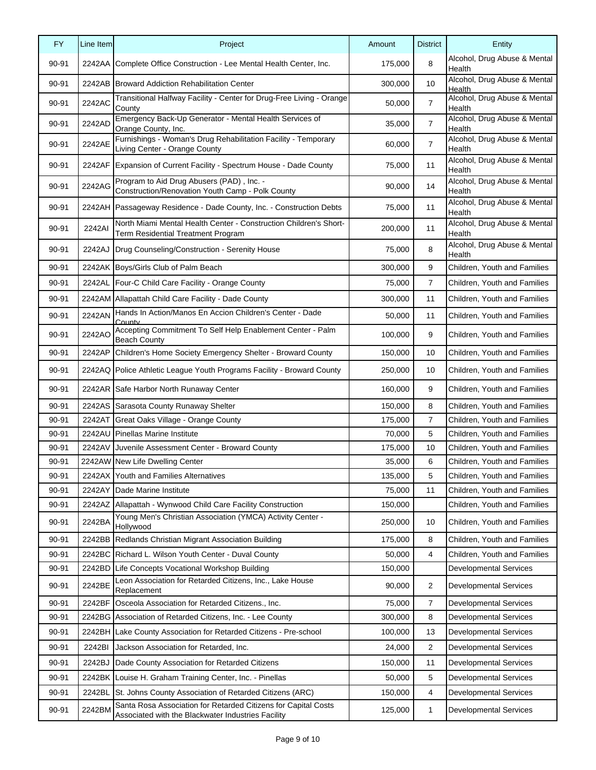| Alcohol, Drug Abuse & Mental<br>8<br>90-91<br>2242AA Complete Office Construction - Lee Mental Health Center, Inc.<br>175,000<br>Health<br>Alcohol, Drug Abuse & Mental<br>2242AB Broward Addiction Rehabilitation Center<br>90-91<br>300,000<br>10<br>Health<br>Alcohol, Drug Abuse & Mental<br>Transitional Halfway Facility - Center for Drug-Free Living - Orange<br>2242AC<br>$\overline{7}$<br>90-91<br>50,000<br>County<br>Health<br>Emergency Back-Up Generator - Mental Health Services of<br>Alcohol, Drug Abuse & Mental<br>$\overline{7}$<br>2242AD<br>90-91<br>35,000<br>Orange County, Inc.<br>Health<br>Furnishings - Woman's Drug Rehabilitation Facility - Temporary<br>Alcohol, Drug Abuse & Mental<br>2242AE<br>7<br>90-91<br>60,000<br>Living Center - Orange County<br>Health<br>Alcohol, Drug Abuse & Mental<br>11<br>90-91<br>2242AF<br>Expansion of Current Facility - Spectrum House - Dade County<br>75,000<br>Health<br>Alcohol, Drug Abuse & Mental<br>Program to Aid Drug Abusers (PAD), Inc. -<br>2242AG<br>14<br>90-91<br>90,000<br>Construction/Renovation Youth Camp - Polk County<br>Health<br>Alcohol, Drug Abuse & Mental<br>2242AH Passageway Residence - Dade County, Inc. - Construction Debts<br>11<br>90-91<br>75,000<br>Health<br>North Miami Mental Health Center - Construction Children's Short-<br>Alcohol, Drug Abuse & Mental<br>2242AI<br>11<br>90-91<br>200,000<br>Health<br>Term Residential Treatment Program<br>Alcohol, Drug Abuse & Mental<br>8<br>90-91<br>2242AJ<br>Drug Counseling/Construction - Serenity House<br>75,000<br>Health<br>2242AK Boys/Girls Club of Palm Beach<br>300,000<br>9<br>Children, Youth and Families<br>90-91<br>2242AL<br>Four-C Child Care Facility - Orange County<br>7<br>Children, Youth and Families<br>90-91<br>75,000<br>2242AM Allapattah Child Care Facility - Dade County<br>90-91<br>300,000<br>11<br>Children, Youth and Families<br>Hands In Action/Manos En Accion Children's Center - Dade<br>2242AN<br>90-91<br>50,000<br>11<br>Children, Youth and Families<br>County<br>Accepting Commitment To Self Help Enablement Center - Palm<br>2242AO<br>9<br>90-91<br>100,000<br>Children, Youth and Families<br><b>Beach County</b><br>Children's Home Society Emergency Shelter - Broward County<br>10<br>Children, Youth and Families<br>90-91<br>2242AP<br>150,000<br>2242AQ Police Athletic League Youth Programs Facility - Broward County<br>10<br>Children, Youth and Families<br>90-91<br>250,000<br>2242AR Safe Harbor North Runaway Center<br>9<br>90-91<br>160,000<br>Children, Youth and Families<br>90-91<br>2242AS Sarasota County Runaway Shelter<br>8<br>Children, Youth and Families<br>150,000<br>7<br>2242AT<br>Children, Youth and Families<br>90-91<br>Great Oaks Village - Orange County<br>175,000<br>Pinellas Marine Institute<br>2242AU<br>5<br>Children, Youth and Families<br>90-91<br>70,000<br>90-91<br>2242AV<br>Juvenile Assessment Center - Broward County<br>175,000<br>10<br>Children, Youth and Families<br>2242AW New Life Dwelling Center<br>6<br>90-91<br>35,000<br>Children, Youth and Families<br>135,000<br>Children, Youth and Families<br>90-91<br>2242AX Youth and Families Alternatives<br>5<br>2242AY<br>11<br>90-91<br>Dade Marine Institute<br>75,000<br>Children, Youth and Families<br>90-91<br>2242AZ Allapattah - Wynwood Child Care Facility Construction<br>150,000<br>Children, Youth and Families<br>Young Men's Christian Association (YMCA) Activity Center -<br>2242BA<br>90-91<br>250,000<br>10<br>Children, Youth and Families<br>Hollywood<br>Redlands Christian Migrant Association Building<br>8<br>90-91<br>2242BB<br>175,000<br>Children, Youth and Families<br>4<br>90-91<br>2242BC Richard L. Wilson Youth Center - Duval County<br>50,000<br>Children, Youth and Families<br>2242BD<br>Life Concepts Vocational Workshop Building<br><b>Developmental Services</b><br>90-91<br>150,000<br>Leon Association for Retarded Citizens, Inc., Lake House<br>2242BE<br>2<br>90-91<br>90,000<br><b>Developmental Services</b><br>Replacement<br>90-91<br>2242BF<br>Osceola Association for Retarded Citizens., Inc.<br>7<br><b>Developmental Services</b><br>75,000<br>8<br>90-91<br>Association of Retarded Citizens, Inc. - Lee County<br>300,000<br><b>Developmental Services</b><br>2242BG<br>90-91<br>2242BH<br>Lake County Association for Retarded Citizens - Pre-school<br>13<br><b>Developmental Services</b><br>100,000<br>2<br>90-91<br>2242BI<br>Jackson Association for Retarded, Inc.<br>24,000<br><b>Developmental Services</b><br>90-91<br>2242BJ<br>Dade County Association for Retarded Citizens<br>150,000<br>11<br><b>Developmental Services</b><br>5<br>90-91<br>2242BK<br>Louise H. Graham Training Center, Inc. - Pinellas<br>50,000<br><b>Developmental Services</b><br>St. Johns County Association of Retarded Citizens (ARC)<br>4<br>90-91<br>2242BL<br>150,000<br><b>Developmental Services</b><br>Santa Rosa Association for Retarded Citizens for Capital Costs<br>2242BM<br>90-91<br>125,000<br>$\mathbf{1}$<br><b>Developmental Services</b><br>Associated with the Blackwater Industries Facility | <b>FY</b> | Line Item | Project | Amount | <b>District</b> | Entity |
|-----------------------------------------------------------------------------------------------------------------------------------------------------------------------------------------------------------------------------------------------------------------------------------------------------------------------------------------------------------------------------------------------------------------------------------------------------------------------------------------------------------------------------------------------------------------------------------------------------------------------------------------------------------------------------------------------------------------------------------------------------------------------------------------------------------------------------------------------------------------------------------------------------------------------------------------------------------------------------------------------------------------------------------------------------------------------------------------------------------------------------------------------------------------------------------------------------------------------------------------------------------------------------------------------------------------------------------------------------------------------------------------------------------------------------------------------------------------------------------------------------------------------------------------------------------------------------------------------------------------------------------------------------------------------------------------------------------------------------------------------------------------------------------------------------------------------------------------------------------------------------------------------------------------------------------------------------------------------------------------------------------------------------------------------------------------------------------------------------------------------------------------------------------------------------------------------------------------------------------------------------------------------------------------------------------------------------------------------------------------------------------------------------------------------------------------------------------------------------------------------------------------------------------------------------------------------------------------------------------------------------------------------------------------------------------------------------------------------------------------------------------------------------------------------------------------------------------------------------------------------------------------------------------------------------------------------------------------------------------------------------------------------------------------------------------------------------------------------------------------------------------------------------------------------------------------------------------------------------------------------------------------------------------------------------------------------------------------------------------------------------------------------------------------------------------------------------------------------------------------------------------------------------------------------------------------------------------------------------------------------------------------------------------------------------------------------------------------------------------------------------------------------------------------------------------------------------------------------------------------------------------------------------------------------------------------------------------------------------------------------------------------------------------------------------------------------------------------------------------------------------------------------------------------------------------------------------------------------------------------------------------------------------------------------------------------------------------------------------------------------------------------------------------------------------------------------------------------------------------------------------------------------------------------------------------------------------------------------------------------------------------------------------------------------------------------------------------------------------------------------------------------------------------------------------------------------------------------------------------------------------------------------------------------------------------------------------------------------------------------------------------------------------------------------------------------------------------------------------------------------------------------------------------------------------------------------|-----------|-----------|---------|--------|-----------------|--------|
|                                                                                                                                                                                                                                                                                                                                                                                                                                                                                                                                                                                                                                                                                                                                                                                                                                                                                                                                                                                                                                                                                                                                                                                                                                                                                                                                                                                                                                                                                                                                                                                                                                                                                                                                                                                                                                                                                                                                                                                                                                                                                                                                                                                                                                                                                                                                                                                                                                                                                                                                                                                                                                                                                                                                                                                                                                                                                                                                                                                                                                                                                                                                                                                                                                                                                                                                                                                                                                                                                                                                                                                                                                                                                                                                                                                                                                                                                                                                                                                                                                                                                                                                                                                                                                                                                                                                                                                                                                                                                                                                                                                                                                                                                                                                                                                                                                                                                                                                                                                                                                                                                                                                                                                               |           |           |         |        |                 |        |
|                                                                                                                                                                                                                                                                                                                                                                                                                                                                                                                                                                                                                                                                                                                                                                                                                                                                                                                                                                                                                                                                                                                                                                                                                                                                                                                                                                                                                                                                                                                                                                                                                                                                                                                                                                                                                                                                                                                                                                                                                                                                                                                                                                                                                                                                                                                                                                                                                                                                                                                                                                                                                                                                                                                                                                                                                                                                                                                                                                                                                                                                                                                                                                                                                                                                                                                                                                                                                                                                                                                                                                                                                                                                                                                                                                                                                                                                                                                                                                                                                                                                                                                                                                                                                                                                                                                                                                                                                                                                                                                                                                                                                                                                                                                                                                                                                                                                                                                                                                                                                                                                                                                                                                                               |           |           |         |        |                 |        |
|                                                                                                                                                                                                                                                                                                                                                                                                                                                                                                                                                                                                                                                                                                                                                                                                                                                                                                                                                                                                                                                                                                                                                                                                                                                                                                                                                                                                                                                                                                                                                                                                                                                                                                                                                                                                                                                                                                                                                                                                                                                                                                                                                                                                                                                                                                                                                                                                                                                                                                                                                                                                                                                                                                                                                                                                                                                                                                                                                                                                                                                                                                                                                                                                                                                                                                                                                                                                                                                                                                                                                                                                                                                                                                                                                                                                                                                                                                                                                                                                                                                                                                                                                                                                                                                                                                                                                                                                                                                                                                                                                                                                                                                                                                                                                                                                                                                                                                                                                                                                                                                                                                                                                                                               |           |           |         |        |                 |        |
|                                                                                                                                                                                                                                                                                                                                                                                                                                                                                                                                                                                                                                                                                                                                                                                                                                                                                                                                                                                                                                                                                                                                                                                                                                                                                                                                                                                                                                                                                                                                                                                                                                                                                                                                                                                                                                                                                                                                                                                                                                                                                                                                                                                                                                                                                                                                                                                                                                                                                                                                                                                                                                                                                                                                                                                                                                                                                                                                                                                                                                                                                                                                                                                                                                                                                                                                                                                                                                                                                                                                                                                                                                                                                                                                                                                                                                                                                                                                                                                                                                                                                                                                                                                                                                                                                                                                                                                                                                                                                                                                                                                                                                                                                                                                                                                                                                                                                                                                                                                                                                                                                                                                                                                               |           |           |         |        |                 |        |
|                                                                                                                                                                                                                                                                                                                                                                                                                                                                                                                                                                                                                                                                                                                                                                                                                                                                                                                                                                                                                                                                                                                                                                                                                                                                                                                                                                                                                                                                                                                                                                                                                                                                                                                                                                                                                                                                                                                                                                                                                                                                                                                                                                                                                                                                                                                                                                                                                                                                                                                                                                                                                                                                                                                                                                                                                                                                                                                                                                                                                                                                                                                                                                                                                                                                                                                                                                                                                                                                                                                                                                                                                                                                                                                                                                                                                                                                                                                                                                                                                                                                                                                                                                                                                                                                                                                                                                                                                                                                                                                                                                                                                                                                                                                                                                                                                                                                                                                                                                                                                                                                                                                                                                                               |           |           |         |        |                 |        |
|                                                                                                                                                                                                                                                                                                                                                                                                                                                                                                                                                                                                                                                                                                                                                                                                                                                                                                                                                                                                                                                                                                                                                                                                                                                                                                                                                                                                                                                                                                                                                                                                                                                                                                                                                                                                                                                                                                                                                                                                                                                                                                                                                                                                                                                                                                                                                                                                                                                                                                                                                                                                                                                                                                                                                                                                                                                                                                                                                                                                                                                                                                                                                                                                                                                                                                                                                                                                                                                                                                                                                                                                                                                                                                                                                                                                                                                                                                                                                                                                                                                                                                                                                                                                                                                                                                                                                                                                                                                                                                                                                                                                                                                                                                                                                                                                                                                                                                                                                                                                                                                                                                                                                                                               |           |           |         |        |                 |        |
|                                                                                                                                                                                                                                                                                                                                                                                                                                                                                                                                                                                                                                                                                                                                                                                                                                                                                                                                                                                                                                                                                                                                                                                                                                                                                                                                                                                                                                                                                                                                                                                                                                                                                                                                                                                                                                                                                                                                                                                                                                                                                                                                                                                                                                                                                                                                                                                                                                                                                                                                                                                                                                                                                                                                                                                                                                                                                                                                                                                                                                                                                                                                                                                                                                                                                                                                                                                                                                                                                                                                                                                                                                                                                                                                                                                                                                                                                                                                                                                                                                                                                                                                                                                                                                                                                                                                                                                                                                                                                                                                                                                                                                                                                                                                                                                                                                                                                                                                                                                                                                                                                                                                                                                               |           |           |         |        |                 |        |
|                                                                                                                                                                                                                                                                                                                                                                                                                                                                                                                                                                                                                                                                                                                                                                                                                                                                                                                                                                                                                                                                                                                                                                                                                                                                                                                                                                                                                                                                                                                                                                                                                                                                                                                                                                                                                                                                                                                                                                                                                                                                                                                                                                                                                                                                                                                                                                                                                                                                                                                                                                                                                                                                                                                                                                                                                                                                                                                                                                                                                                                                                                                                                                                                                                                                                                                                                                                                                                                                                                                                                                                                                                                                                                                                                                                                                                                                                                                                                                                                                                                                                                                                                                                                                                                                                                                                                                                                                                                                                                                                                                                                                                                                                                                                                                                                                                                                                                                                                                                                                                                                                                                                                                                               |           |           |         |        |                 |        |
|                                                                                                                                                                                                                                                                                                                                                                                                                                                                                                                                                                                                                                                                                                                                                                                                                                                                                                                                                                                                                                                                                                                                                                                                                                                                                                                                                                                                                                                                                                                                                                                                                                                                                                                                                                                                                                                                                                                                                                                                                                                                                                                                                                                                                                                                                                                                                                                                                                                                                                                                                                                                                                                                                                                                                                                                                                                                                                                                                                                                                                                                                                                                                                                                                                                                                                                                                                                                                                                                                                                                                                                                                                                                                                                                                                                                                                                                                                                                                                                                                                                                                                                                                                                                                                                                                                                                                                                                                                                                                                                                                                                                                                                                                                                                                                                                                                                                                                                                                                                                                                                                                                                                                                                               |           |           |         |        |                 |        |
|                                                                                                                                                                                                                                                                                                                                                                                                                                                                                                                                                                                                                                                                                                                                                                                                                                                                                                                                                                                                                                                                                                                                                                                                                                                                                                                                                                                                                                                                                                                                                                                                                                                                                                                                                                                                                                                                                                                                                                                                                                                                                                                                                                                                                                                                                                                                                                                                                                                                                                                                                                                                                                                                                                                                                                                                                                                                                                                                                                                                                                                                                                                                                                                                                                                                                                                                                                                                                                                                                                                                                                                                                                                                                                                                                                                                                                                                                                                                                                                                                                                                                                                                                                                                                                                                                                                                                                                                                                                                                                                                                                                                                                                                                                                                                                                                                                                                                                                                                                                                                                                                                                                                                                                               |           |           |         |        |                 |        |
|                                                                                                                                                                                                                                                                                                                                                                                                                                                                                                                                                                                                                                                                                                                                                                                                                                                                                                                                                                                                                                                                                                                                                                                                                                                                                                                                                                                                                                                                                                                                                                                                                                                                                                                                                                                                                                                                                                                                                                                                                                                                                                                                                                                                                                                                                                                                                                                                                                                                                                                                                                                                                                                                                                                                                                                                                                                                                                                                                                                                                                                                                                                                                                                                                                                                                                                                                                                                                                                                                                                                                                                                                                                                                                                                                                                                                                                                                                                                                                                                                                                                                                                                                                                                                                                                                                                                                                                                                                                                                                                                                                                                                                                                                                                                                                                                                                                                                                                                                                                                                                                                                                                                                                                               |           |           |         |        |                 |        |
|                                                                                                                                                                                                                                                                                                                                                                                                                                                                                                                                                                                                                                                                                                                                                                                                                                                                                                                                                                                                                                                                                                                                                                                                                                                                                                                                                                                                                                                                                                                                                                                                                                                                                                                                                                                                                                                                                                                                                                                                                                                                                                                                                                                                                                                                                                                                                                                                                                                                                                                                                                                                                                                                                                                                                                                                                                                                                                                                                                                                                                                                                                                                                                                                                                                                                                                                                                                                                                                                                                                                                                                                                                                                                                                                                                                                                                                                                                                                                                                                                                                                                                                                                                                                                                                                                                                                                                                                                                                                                                                                                                                                                                                                                                                                                                                                                                                                                                                                                                                                                                                                                                                                                                                               |           |           |         |        |                 |        |
|                                                                                                                                                                                                                                                                                                                                                                                                                                                                                                                                                                                                                                                                                                                                                                                                                                                                                                                                                                                                                                                                                                                                                                                                                                                                                                                                                                                                                                                                                                                                                                                                                                                                                                                                                                                                                                                                                                                                                                                                                                                                                                                                                                                                                                                                                                                                                                                                                                                                                                                                                                                                                                                                                                                                                                                                                                                                                                                                                                                                                                                                                                                                                                                                                                                                                                                                                                                                                                                                                                                                                                                                                                                                                                                                                                                                                                                                                                                                                                                                                                                                                                                                                                                                                                                                                                                                                                                                                                                                                                                                                                                                                                                                                                                                                                                                                                                                                                                                                                                                                                                                                                                                                                                               |           |           |         |        |                 |        |
|                                                                                                                                                                                                                                                                                                                                                                                                                                                                                                                                                                                                                                                                                                                                                                                                                                                                                                                                                                                                                                                                                                                                                                                                                                                                                                                                                                                                                                                                                                                                                                                                                                                                                                                                                                                                                                                                                                                                                                                                                                                                                                                                                                                                                                                                                                                                                                                                                                                                                                                                                                                                                                                                                                                                                                                                                                                                                                                                                                                                                                                                                                                                                                                                                                                                                                                                                                                                                                                                                                                                                                                                                                                                                                                                                                                                                                                                                                                                                                                                                                                                                                                                                                                                                                                                                                                                                                                                                                                                                                                                                                                                                                                                                                                                                                                                                                                                                                                                                                                                                                                                                                                                                                                               |           |           |         |        |                 |        |
|                                                                                                                                                                                                                                                                                                                                                                                                                                                                                                                                                                                                                                                                                                                                                                                                                                                                                                                                                                                                                                                                                                                                                                                                                                                                                                                                                                                                                                                                                                                                                                                                                                                                                                                                                                                                                                                                                                                                                                                                                                                                                                                                                                                                                                                                                                                                                                                                                                                                                                                                                                                                                                                                                                                                                                                                                                                                                                                                                                                                                                                                                                                                                                                                                                                                                                                                                                                                                                                                                                                                                                                                                                                                                                                                                                                                                                                                                                                                                                                                                                                                                                                                                                                                                                                                                                                                                                                                                                                                                                                                                                                                                                                                                                                                                                                                                                                                                                                                                                                                                                                                                                                                                                                               |           |           |         |        |                 |        |
|                                                                                                                                                                                                                                                                                                                                                                                                                                                                                                                                                                                                                                                                                                                                                                                                                                                                                                                                                                                                                                                                                                                                                                                                                                                                                                                                                                                                                                                                                                                                                                                                                                                                                                                                                                                                                                                                                                                                                                                                                                                                                                                                                                                                                                                                                                                                                                                                                                                                                                                                                                                                                                                                                                                                                                                                                                                                                                                                                                                                                                                                                                                                                                                                                                                                                                                                                                                                                                                                                                                                                                                                                                                                                                                                                                                                                                                                                                                                                                                                                                                                                                                                                                                                                                                                                                                                                                                                                                                                                                                                                                                                                                                                                                                                                                                                                                                                                                                                                                                                                                                                                                                                                                                               |           |           |         |        |                 |        |
|                                                                                                                                                                                                                                                                                                                                                                                                                                                                                                                                                                                                                                                                                                                                                                                                                                                                                                                                                                                                                                                                                                                                                                                                                                                                                                                                                                                                                                                                                                                                                                                                                                                                                                                                                                                                                                                                                                                                                                                                                                                                                                                                                                                                                                                                                                                                                                                                                                                                                                                                                                                                                                                                                                                                                                                                                                                                                                                                                                                                                                                                                                                                                                                                                                                                                                                                                                                                                                                                                                                                                                                                                                                                                                                                                                                                                                                                                                                                                                                                                                                                                                                                                                                                                                                                                                                                                                                                                                                                                                                                                                                                                                                                                                                                                                                                                                                                                                                                                                                                                                                                                                                                                                                               |           |           |         |        |                 |        |
|                                                                                                                                                                                                                                                                                                                                                                                                                                                                                                                                                                                                                                                                                                                                                                                                                                                                                                                                                                                                                                                                                                                                                                                                                                                                                                                                                                                                                                                                                                                                                                                                                                                                                                                                                                                                                                                                                                                                                                                                                                                                                                                                                                                                                                                                                                                                                                                                                                                                                                                                                                                                                                                                                                                                                                                                                                                                                                                                                                                                                                                                                                                                                                                                                                                                                                                                                                                                                                                                                                                                                                                                                                                                                                                                                                                                                                                                                                                                                                                                                                                                                                                                                                                                                                                                                                                                                                                                                                                                                                                                                                                                                                                                                                                                                                                                                                                                                                                                                                                                                                                                                                                                                                                               |           |           |         |        |                 |        |
|                                                                                                                                                                                                                                                                                                                                                                                                                                                                                                                                                                                                                                                                                                                                                                                                                                                                                                                                                                                                                                                                                                                                                                                                                                                                                                                                                                                                                                                                                                                                                                                                                                                                                                                                                                                                                                                                                                                                                                                                                                                                                                                                                                                                                                                                                                                                                                                                                                                                                                                                                                                                                                                                                                                                                                                                                                                                                                                                                                                                                                                                                                                                                                                                                                                                                                                                                                                                                                                                                                                                                                                                                                                                                                                                                                                                                                                                                                                                                                                                                                                                                                                                                                                                                                                                                                                                                                                                                                                                                                                                                                                                                                                                                                                                                                                                                                                                                                                                                                                                                                                                                                                                                                                               |           |           |         |        |                 |        |
|                                                                                                                                                                                                                                                                                                                                                                                                                                                                                                                                                                                                                                                                                                                                                                                                                                                                                                                                                                                                                                                                                                                                                                                                                                                                                                                                                                                                                                                                                                                                                                                                                                                                                                                                                                                                                                                                                                                                                                                                                                                                                                                                                                                                                                                                                                                                                                                                                                                                                                                                                                                                                                                                                                                                                                                                                                                                                                                                                                                                                                                                                                                                                                                                                                                                                                                                                                                                                                                                                                                                                                                                                                                                                                                                                                                                                                                                                                                                                                                                                                                                                                                                                                                                                                                                                                                                                                                                                                                                                                                                                                                                                                                                                                                                                                                                                                                                                                                                                                                                                                                                                                                                                                                               |           |           |         |        |                 |        |
|                                                                                                                                                                                                                                                                                                                                                                                                                                                                                                                                                                                                                                                                                                                                                                                                                                                                                                                                                                                                                                                                                                                                                                                                                                                                                                                                                                                                                                                                                                                                                                                                                                                                                                                                                                                                                                                                                                                                                                                                                                                                                                                                                                                                                                                                                                                                                                                                                                                                                                                                                                                                                                                                                                                                                                                                                                                                                                                                                                                                                                                                                                                                                                                                                                                                                                                                                                                                                                                                                                                                                                                                                                                                                                                                                                                                                                                                                                                                                                                                                                                                                                                                                                                                                                                                                                                                                                                                                                                                                                                                                                                                                                                                                                                                                                                                                                                                                                                                                                                                                                                                                                                                                                                               |           |           |         |        |                 |        |
|                                                                                                                                                                                                                                                                                                                                                                                                                                                                                                                                                                                                                                                                                                                                                                                                                                                                                                                                                                                                                                                                                                                                                                                                                                                                                                                                                                                                                                                                                                                                                                                                                                                                                                                                                                                                                                                                                                                                                                                                                                                                                                                                                                                                                                                                                                                                                                                                                                                                                                                                                                                                                                                                                                                                                                                                                                                                                                                                                                                                                                                                                                                                                                                                                                                                                                                                                                                                                                                                                                                                                                                                                                                                                                                                                                                                                                                                                                                                                                                                                                                                                                                                                                                                                                                                                                                                                                                                                                                                                                                                                                                                                                                                                                                                                                                                                                                                                                                                                                                                                                                                                                                                                                                               |           |           |         |        |                 |        |
|                                                                                                                                                                                                                                                                                                                                                                                                                                                                                                                                                                                                                                                                                                                                                                                                                                                                                                                                                                                                                                                                                                                                                                                                                                                                                                                                                                                                                                                                                                                                                                                                                                                                                                                                                                                                                                                                                                                                                                                                                                                                                                                                                                                                                                                                                                                                                                                                                                                                                                                                                                                                                                                                                                                                                                                                                                                                                                                                                                                                                                                                                                                                                                                                                                                                                                                                                                                                                                                                                                                                                                                                                                                                                                                                                                                                                                                                                                                                                                                                                                                                                                                                                                                                                                                                                                                                                                                                                                                                                                                                                                                                                                                                                                                                                                                                                                                                                                                                                                                                                                                                                                                                                                                               |           |           |         |        |                 |        |
|                                                                                                                                                                                                                                                                                                                                                                                                                                                                                                                                                                                                                                                                                                                                                                                                                                                                                                                                                                                                                                                                                                                                                                                                                                                                                                                                                                                                                                                                                                                                                                                                                                                                                                                                                                                                                                                                                                                                                                                                                                                                                                                                                                                                                                                                                                                                                                                                                                                                                                                                                                                                                                                                                                                                                                                                                                                                                                                                                                                                                                                                                                                                                                                                                                                                                                                                                                                                                                                                                                                                                                                                                                                                                                                                                                                                                                                                                                                                                                                                                                                                                                                                                                                                                                                                                                                                                                                                                                                                                                                                                                                                                                                                                                                                                                                                                                                                                                                                                                                                                                                                                                                                                                                               |           |           |         |        |                 |        |
|                                                                                                                                                                                                                                                                                                                                                                                                                                                                                                                                                                                                                                                                                                                                                                                                                                                                                                                                                                                                                                                                                                                                                                                                                                                                                                                                                                                                                                                                                                                                                                                                                                                                                                                                                                                                                                                                                                                                                                                                                                                                                                                                                                                                                                                                                                                                                                                                                                                                                                                                                                                                                                                                                                                                                                                                                                                                                                                                                                                                                                                                                                                                                                                                                                                                                                                                                                                                                                                                                                                                                                                                                                                                                                                                                                                                                                                                                                                                                                                                                                                                                                                                                                                                                                                                                                                                                                                                                                                                                                                                                                                                                                                                                                                                                                                                                                                                                                                                                                                                                                                                                                                                                                                               |           |           |         |        |                 |        |
|                                                                                                                                                                                                                                                                                                                                                                                                                                                                                                                                                                                                                                                                                                                                                                                                                                                                                                                                                                                                                                                                                                                                                                                                                                                                                                                                                                                                                                                                                                                                                                                                                                                                                                                                                                                                                                                                                                                                                                                                                                                                                                                                                                                                                                                                                                                                                                                                                                                                                                                                                                                                                                                                                                                                                                                                                                                                                                                                                                                                                                                                                                                                                                                                                                                                                                                                                                                                                                                                                                                                                                                                                                                                                                                                                                                                                                                                                                                                                                                                                                                                                                                                                                                                                                                                                                                                                                                                                                                                                                                                                                                                                                                                                                                                                                                                                                                                                                                                                                                                                                                                                                                                                                                               |           |           |         |        |                 |        |
|                                                                                                                                                                                                                                                                                                                                                                                                                                                                                                                                                                                                                                                                                                                                                                                                                                                                                                                                                                                                                                                                                                                                                                                                                                                                                                                                                                                                                                                                                                                                                                                                                                                                                                                                                                                                                                                                                                                                                                                                                                                                                                                                                                                                                                                                                                                                                                                                                                                                                                                                                                                                                                                                                                                                                                                                                                                                                                                                                                                                                                                                                                                                                                                                                                                                                                                                                                                                                                                                                                                                                                                                                                                                                                                                                                                                                                                                                                                                                                                                                                                                                                                                                                                                                                                                                                                                                                                                                                                                                                                                                                                                                                                                                                                                                                                                                                                                                                                                                                                                                                                                                                                                                                                               |           |           |         |        |                 |        |
|                                                                                                                                                                                                                                                                                                                                                                                                                                                                                                                                                                                                                                                                                                                                                                                                                                                                                                                                                                                                                                                                                                                                                                                                                                                                                                                                                                                                                                                                                                                                                                                                                                                                                                                                                                                                                                                                                                                                                                                                                                                                                                                                                                                                                                                                                                                                                                                                                                                                                                                                                                                                                                                                                                                                                                                                                                                                                                                                                                                                                                                                                                                                                                                                                                                                                                                                                                                                                                                                                                                                                                                                                                                                                                                                                                                                                                                                                                                                                                                                                                                                                                                                                                                                                                                                                                                                                                                                                                                                                                                                                                                                                                                                                                                                                                                                                                                                                                                                                                                                                                                                                                                                                                                               |           |           |         |        |                 |        |
|                                                                                                                                                                                                                                                                                                                                                                                                                                                                                                                                                                                                                                                                                                                                                                                                                                                                                                                                                                                                                                                                                                                                                                                                                                                                                                                                                                                                                                                                                                                                                                                                                                                                                                                                                                                                                                                                                                                                                                                                                                                                                                                                                                                                                                                                                                                                                                                                                                                                                                                                                                                                                                                                                                                                                                                                                                                                                                                                                                                                                                                                                                                                                                                                                                                                                                                                                                                                                                                                                                                                                                                                                                                                                                                                                                                                                                                                                                                                                                                                                                                                                                                                                                                                                                                                                                                                                                                                                                                                                                                                                                                                                                                                                                                                                                                                                                                                                                                                                                                                                                                                                                                                                                                               |           |           |         |        |                 |        |
|                                                                                                                                                                                                                                                                                                                                                                                                                                                                                                                                                                                                                                                                                                                                                                                                                                                                                                                                                                                                                                                                                                                                                                                                                                                                                                                                                                                                                                                                                                                                                                                                                                                                                                                                                                                                                                                                                                                                                                                                                                                                                                                                                                                                                                                                                                                                                                                                                                                                                                                                                                                                                                                                                                                                                                                                                                                                                                                                                                                                                                                                                                                                                                                                                                                                                                                                                                                                                                                                                                                                                                                                                                                                                                                                                                                                                                                                                                                                                                                                                                                                                                                                                                                                                                                                                                                                                                                                                                                                                                                                                                                                                                                                                                                                                                                                                                                                                                                                                                                                                                                                                                                                                                                               |           |           |         |        |                 |        |
|                                                                                                                                                                                                                                                                                                                                                                                                                                                                                                                                                                                                                                                                                                                                                                                                                                                                                                                                                                                                                                                                                                                                                                                                                                                                                                                                                                                                                                                                                                                                                                                                                                                                                                                                                                                                                                                                                                                                                                                                                                                                                                                                                                                                                                                                                                                                                                                                                                                                                                                                                                                                                                                                                                                                                                                                                                                                                                                                                                                                                                                                                                                                                                                                                                                                                                                                                                                                                                                                                                                                                                                                                                                                                                                                                                                                                                                                                                                                                                                                                                                                                                                                                                                                                                                                                                                                                                                                                                                                                                                                                                                                                                                                                                                                                                                                                                                                                                                                                                                                                                                                                                                                                                                               |           |           |         |        |                 |        |
|                                                                                                                                                                                                                                                                                                                                                                                                                                                                                                                                                                                                                                                                                                                                                                                                                                                                                                                                                                                                                                                                                                                                                                                                                                                                                                                                                                                                                                                                                                                                                                                                                                                                                                                                                                                                                                                                                                                                                                                                                                                                                                                                                                                                                                                                                                                                                                                                                                                                                                                                                                                                                                                                                                                                                                                                                                                                                                                                                                                                                                                                                                                                                                                                                                                                                                                                                                                                                                                                                                                                                                                                                                                                                                                                                                                                                                                                                                                                                                                                                                                                                                                                                                                                                                                                                                                                                                                                                                                                                                                                                                                                                                                                                                                                                                                                                                                                                                                                                                                                                                                                                                                                                                                               |           |           |         |        |                 |        |
|                                                                                                                                                                                                                                                                                                                                                                                                                                                                                                                                                                                                                                                                                                                                                                                                                                                                                                                                                                                                                                                                                                                                                                                                                                                                                                                                                                                                                                                                                                                                                                                                                                                                                                                                                                                                                                                                                                                                                                                                                                                                                                                                                                                                                                                                                                                                                                                                                                                                                                                                                                                                                                                                                                                                                                                                                                                                                                                                                                                                                                                                                                                                                                                                                                                                                                                                                                                                                                                                                                                                                                                                                                                                                                                                                                                                                                                                                                                                                                                                                                                                                                                                                                                                                                                                                                                                                                                                                                                                                                                                                                                                                                                                                                                                                                                                                                                                                                                                                                                                                                                                                                                                                                                               |           |           |         |        |                 |        |
|                                                                                                                                                                                                                                                                                                                                                                                                                                                                                                                                                                                                                                                                                                                                                                                                                                                                                                                                                                                                                                                                                                                                                                                                                                                                                                                                                                                                                                                                                                                                                                                                                                                                                                                                                                                                                                                                                                                                                                                                                                                                                                                                                                                                                                                                                                                                                                                                                                                                                                                                                                                                                                                                                                                                                                                                                                                                                                                                                                                                                                                                                                                                                                                                                                                                                                                                                                                                                                                                                                                                                                                                                                                                                                                                                                                                                                                                                                                                                                                                                                                                                                                                                                                                                                                                                                                                                                                                                                                                                                                                                                                                                                                                                                                                                                                                                                                                                                                                                                                                                                                                                                                                                                                               |           |           |         |        |                 |        |
|                                                                                                                                                                                                                                                                                                                                                                                                                                                                                                                                                                                                                                                                                                                                                                                                                                                                                                                                                                                                                                                                                                                                                                                                                                                                                                                                                                                                                                                                                                                                                                                                                                                                                                                                                                                                                                                                                                                                                                                                                                                                                                                                                                                                                                                                                                                                                                                                                                                                                                                                                                                                                                                                                                                                                                                                                                                                                                                                                                                                                                                                                                                                                                                                                                                                                                                                                                                                                                                                                                                                                                                                                                                                                                                                                                                                                                                                                                                                                                                                                                                                                                                                                                                                                                                                                                                                                                                                                                                                                                                                                                                                                                                                                                                                                                                                                                                                                                                                                                                                                                                                                                                                                                                               |           |           |         |        |                 |        |
|                                                                                                                                                                                                                                                                                                                                                                                                                                                                                                                                                                                                                                                                                                                                                                                                                                                                                                                                                                                                                                                                                                                                                                                                                                                                                                                                                                                                                                                                                                                                                                                                                                                                                                                                                                                                                                                                                                                                                                                                                                                                                                                                                                                                                                                                                                                                                                                                                                                                                                                                                                                                                                                                                                                                                                                                                                                                                                                                                                                                                                                                                                                                                                                                                                                                                                                                                                                                                                                                                                                                                                                                                                                                                                                                                                                                                                                                                                                                                                                                                                                                                                                                                                                                                                                                                                                                                                                                                                                                                                                                                                                                                                                                                                                                                                                                                                                                                                                                                                                                                                                                                                                                                                                               |           |           |         |        |                 |        |
|                                                                                                                                                                                                                                                                                                                                                                                                                                                                                                                                                                                                                                                                                                                                                                                                                                                                                                                                                                                                                                                                                                                                                                                                                                                                                                                                                                                                                                                                                                                                                                                                                                                                                                                                                                                                                                                                                                                                                                                                                                                                                                                                                                                                                                                                                                                                                                                                                                                                                                                                                                                                                                                                                                                                                                                                                                                                                                                                                                                                                                                                                                                                                                                                                                                                                                                                                                                                                                                                                                                                                                                                                                                                                                                                                                                                                                                                                                                                                                                                                                                                                                                                                                                                                                                                                                                                                                                                                                                                                                                                                                                                                                                                                                                                                                                                                                                                                                                                                                                                                                                                                                                                                                                               |           |           |         |        |                 |        |
|                                                                                                                                                                                                                                                                                                                                                                                                                                                                                                                                                                                                                                                                                                                                                                                                                                                                                                                                                                                                                                                                                                                                                                                                                                                                                                                                                                                                                                                                                                                                                                                                                                                                                                                                                                                                                                                                                                                                                                                                                                                                                                                                                                                                                                                                                                                                                                                                                                                                                                                                                                                                                                                                                                                                                                                                                                                                                                                                                                                                                                                                                                                                                                                                                                                                                                                                                                                                                                                                                                                                                                                                                                                                                                                                                                                                                                                                                                                                                                                                                                                                                                                                                                                                                                                                                                                                                                                                                                                                                                                                                                                                                                                                                                                                                                                                                                                                                                                                                                                                                                                                                                                                                                                               |           |           |         |        |                 |        |
|                                                                                                                                                                                                                                                                                                                                                                                                                                                                                                                                                                                                                                                                                                                                                                                                                                                                                                                                                                                                                                                                                                                                                                                                                                                                                                                                                                                                                                                                                                                                                                                                                                                                                                                                                                                                                                                                                                                                                                                                                                                                                                                                                                                                                                                                                                                                                                                                                                                                                                                                                                                                                                                                                                                                                                                                                                                                                                                                                                                                                                                                                                                                                                                                                                                                                                                                                                                                                                                                                                                                                                                                                                                                                                                                                                                                                                                                                                                                                                                                                                                                                                                                                                                                                                                                                                                                                                                                                                                                                                                                                                                                                                                                                                                                                                                                                                                                                                                                                                                                                                                                                                                                                                                               |           |           |         |        |                 |        |